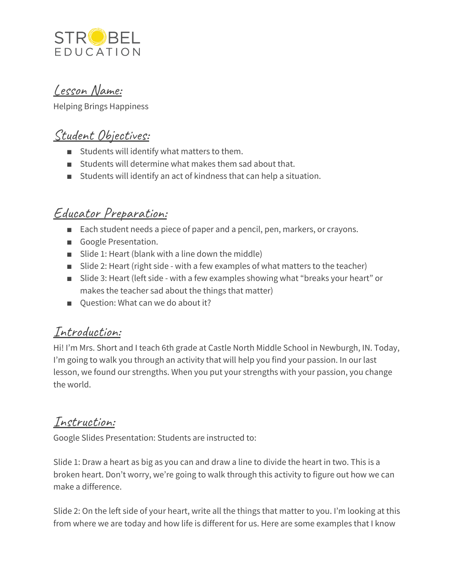

## Lesson Name:

Helping Brings Happiness

## Student Objectives:

- Students will identify what matters to them.
- Students will determine what makes them sad about that.
- Students will identify an act of kindness that can help a situation.

## Educator Preparation:

- Each student needs a piece of paper and a pencil, pen, markers, or crayons.
- Google Presentation.
- Slide 1: Heart (blank with a line down the middle)
- Slide 2: Heart (right side with a few examples of what matters to the teacher)
- Slide 3: Heart (left side with a few examples showing what "breaks your heart" or makes the teacher sad about the things that matter)
- Ouestion: What can we do about it?

# Introduction:

Hi! I'm Mrs. Short and I teach 6th grade at Castle North Middle School in Newburgh, IN. Today, I'm going to walk you through an activity that will help you find your passion. In our last lesson, we found our strengths. When you put your strengths with your passion, you change the world.

### Instruction:

Google Slides Presentation: Students are instructed to:

Slide 1: Draw a heart as big as you can and draw a line to divide the heart in two. This is a broken heart. Don't worry, we're going to walk through this activity to figure out how we can make a difference.

Slide 2: On the left side of your heart, write all the things that matter to you. I'm looking at this from where we are today and how life is different for us. Here are some examples that I know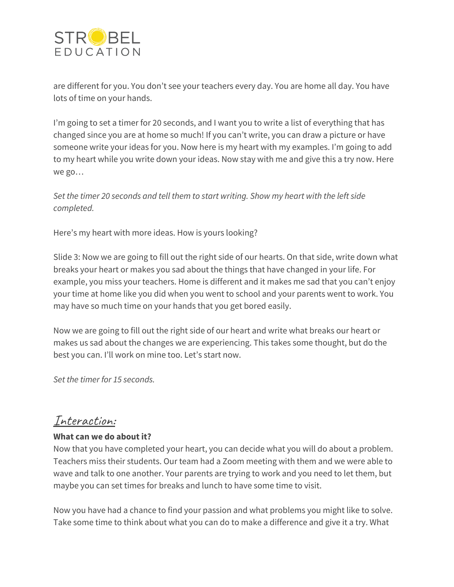

are different for you. You don't see your teachers every day. You are home all day. You have lots of time on your hands.

I'm going to set a timer for 20 seconds, and I want you to write a list of everything that has changed since you are at home so much! If you can't write, you can draw a picture or have someone write your ideas for you. Now here is my heart with my examples. I'm going to add to my heart while you write down your ideas. Now stay with me and give this a try now. Here we go…

*Set the timer 20 seconds and tell them to start writing. Show my heart with the left side completed.*

Here's my heart with more ideas. How is yours looking?

Slide 3: Now we are going to fill out the right side of our hearts. On that side, write down what breaks your heart or makes you sad about the things that have changed in your life. For example, you miss your teachers. Home is different and it makes me sad that you can't enjoy your time at home like you did when you went to school and your parents went to work. You may have so much time on your hands that you get bored easily.

Now we are going to fill out the right side of our heart and write what breaks our heart or makes us sad about the changes we are experiencing. This takes some thought, but do the best you can. I'll work on mine too. Let's start now.

*Set the timer for 15 seconds.*

#### Interaction:

#### **What can we do about it?**

Now that you have completed your heart, you can decide what you will do about a problem. Teachers miss their students. Our team had a Zoom meeting with them and we were able to wave and talk to one another. Your parents are trying to work and you need to let them, but maybe you can set times for breaks and lunch to have some time to visit.

Now you have had a chance to find your passion and what problems you might like to solve. Take some time to think about what you can do to make a difference and give it a try. What